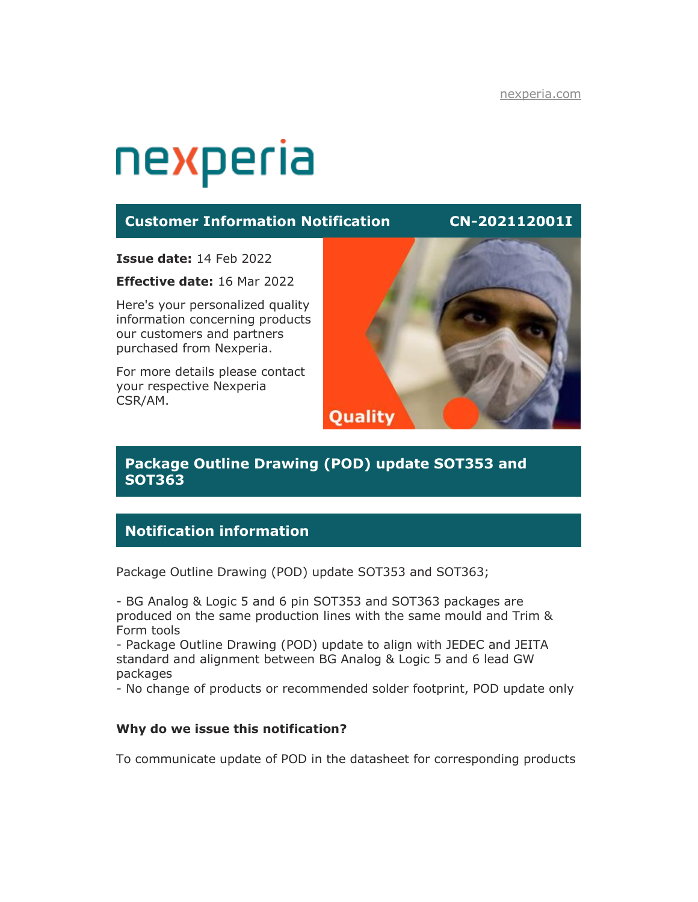# nexperia

## **Customer Information Notification CN-202112001I**

**Issue date:** 14 Feb 2022

**Effective date:** 16 Mar 2022

Here's your personalized quality information concerning products our customers and partners purchased from Nexperia.

For more details please contact your respective Nexperia CSR/AM.



# **Package Outline Drawing (POD) update SOT353 and SOT363**

# **Notification information**

Package Outline Drawing (POD) update SOT353 and SOT363;

- BG Analog & Logic 5 and 6 pin SOT353 and SOT363 packages are produced on the same production lines with the same mould and Trim & Form tools

- Package Outline Drawing (POD) update to align with JEDEC and JEITA standard and alignment between BG Analog & Logic 5 and 6 lead GW packages

- No change of products or recommended solder footprint, POD update only

#### **Why do we issue this notification?**

To communicate update of POD in the datasheet for corresponding products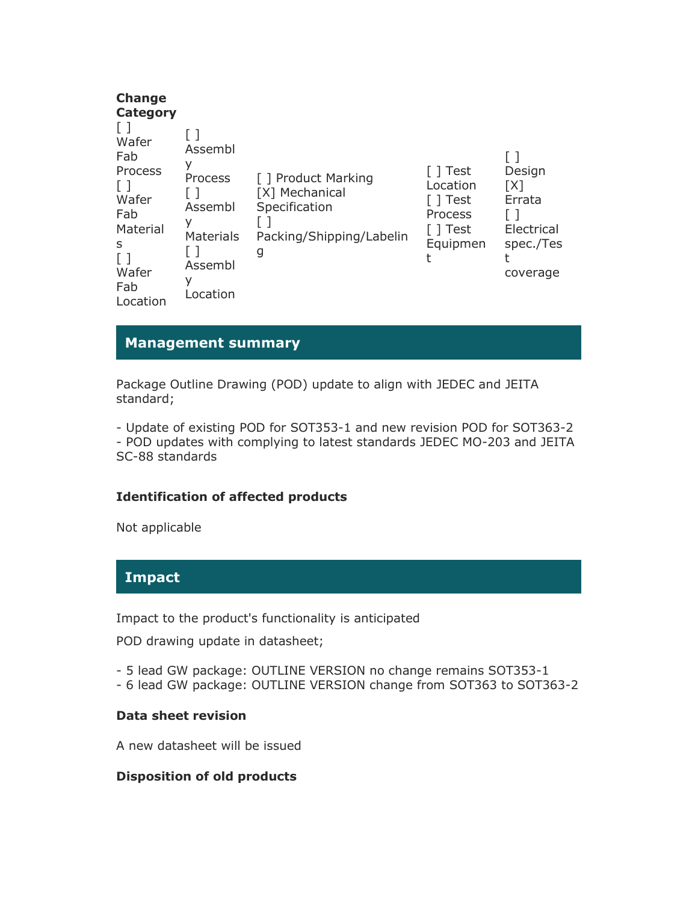| <b>Change</b><br>Category<br>Wafer<br>Fab<br>Process<br>$\Box$<br>Wafer<br>Fab<br>Material<br>S<br>Wafer<br>Fab<br>Location | Assembl<br>У<br>Process<br>Assembl<br>У<br>Materials<br>Assembl<br>٧<br>Location | [ ] Product Marking<br>[X] Mechanical<br>Specification<br>Packing/Shipping/Labelin<br>g | [ ] Test<br>Location<br>Test<br>Process<br>Test<br>Equipmen | Design<br>[X]<br>Errata<br>Electrical<br>spec./Tes<br>coverage |
|-----------------------------------------------------------------------------------------------------------------------------|----------------------------------------------------------------------------------|-----------------------------------------------------------------------------------------|-------------------------------------------------------------|----------------------------------------------------------------|
|-----------------------------------------------------------------------------------------------------------------------------|----------------------------------------------------------------------------------|-----------------------------------------------------------------------------------------|-------------------------------------------------------------|----------------------------------------------------------------|

# **Management summary**

Package Outline Drawing (POD) update to align with JEDEC and JEITA standard;

- Update of existing POD for SOT353-1 and new revision POD for SOT363-2 - POD updates with complying to latest standards JEDEC MO-203 and JEITA SC-88 standards

#### **Identification of affected products**

Not applicable

## **Impact**

Impact to the product's functionality is anticipated

POD drawing update in datasheet;

- 5 lead GW package: OUTLINE VERSION no change remains SOT353-1
- 6 lead GW package: OUTLINE VERSION change from SOT363 to SOT363-2

#### **Data sheet revision**

A new datasheet will be issued

#### **Disposition of old products**